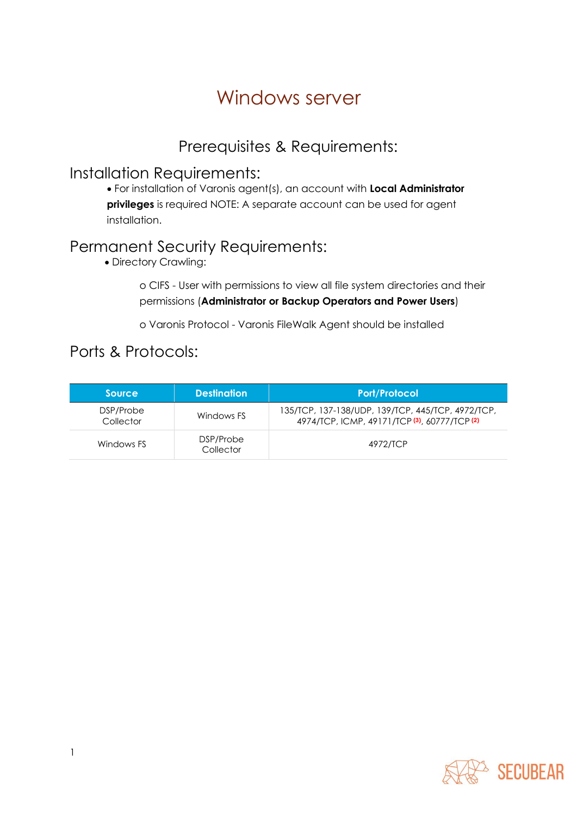# Windows server

## Prerequisites & Requirements:

#### Installation Requirements:

• For installation of Varonis agent(s), an account with **Local Administrator privileges** is required NOTE: A separate account can be used for agent installation.

### Permanent Security Requirements:

• Directory Crawling:

o CIFS - User with permissions to view all file system directories and their permissions (**Administrator or Backup Operators and Power Users**)

o Varonis Protocol - Varonis FileWalk Agent should be installed

### Ports & Protocols:

| <b>Source</b>          | <b>Destination</b>     | <b>Port/Protocol</b>                                                                              |
|------------------------|------------------------|---------------------------------------------------------------------------------------------------|
| DSP/Probe<br>Collector | Windows FS             | 135/TCP, 137-138/UDP, 139/TCP, 445/TCP, 4972/TCP,<br>4974/TCP, ICMP, 49171/TCP (3), 60777/TCP (2) |
| Windows FS             | DSP/Probe<br>Collector | 4972/TCP                                                                                          |

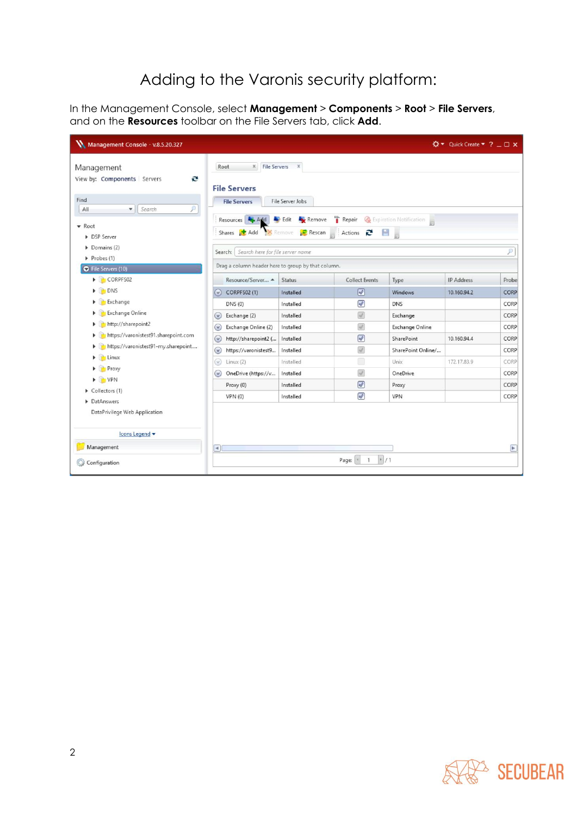## Adding to the Varonis security platform:

In the Management Console, select **Management** > **Components** > **Root** > **File Servers**, and on the **Resources** toolbar on the File Servers tab, click **Add**.

| Management Console - v.8.5.20.327                                                                                                                            |                                                                                                                                                                                                                                       |               |                                    |                    | ☆▼ Quick Create ▼ ? _ □ × |                       |  |
|--------------------------------------------------------------------------------------------------------------------------------------------------------------|---------------------------------------------------------------------------------------------------------------------------------------------------------------------------------------------------------------------------------------|---------------|------------------------------------|--------------------|---------------------------|-----------------------|--|
| Management<br>e<br>View by: Components Servers                                                                                                               | <b>X</b> File Servers<br>Root<br><b>File Servers</b>                                                                                                                                                                                  | $\mathbf{x}$  |                                    |                    |                           |                       |  |
| Find<br>P<br>Search<br>All<br>$\overline{\phantom{a}}$<br>$\bullet$ Root<br><b>DSP Server</b><br>$\triangleright$ Domains (2)<br>$\triangleright$ Probes (1) | File Server Jobs<br><b>File Servers</b><br>Ŧ<br>Remove<br>Expiration Notification<br>Edit<br>Repair<br>Resources Add<br>Shares & Add X Remove<br>Rescan<br>Actions $\mathbb{R}$<br>員<br>ρ<br>Search: Search here for file server name |               |                                    |                    |                           |                       |  |
| Drag a column header here to group by that column.<br>File Servers (10)                                                                                      |                                                                                                                                                                                                                                       |               |                                    |                    |                           |                       |  |
| CORPFS02                                                                                                                                                     | Resource/Server A                                                                                                                                                                                                                     | <b>Status</b> | <b>Collect Events</b>              | Type               | <b>IP Address</b>         | Probe                 |  |
| $\triangleright$ $\blacksquare$ DNS                                                                                                                          | CORPFS02 (1)<br>$\circledcirc$                                                                                                                                                                                                        | Installed     | $\lbrack \heartsuit \rbrack$       | Windows            | 10.160.94.2               | CORP                  |  |
| $\triangleright$ Exchange<br>Exchange Online<br>http://sharepoint2                                                                                           | DNS (0)                                                                                                                                                                                                                               | Installed     | $\overline{\mathscr{A}}$           | <b>DNS</b>         |                           | CORP                  |  |
|                                                                                                                                                              | Exchange (2)<br>$\rm \omega$                                                                                                                                                                                                          | Installed     | $\mathcal{A}$                      | Exchange           |                           | CORP                  |  |
|                                                                                                                                                              | $\odot$<br>Exchange Online (2)                                                                                                                                                                                                        | Installed     | $\mathcal{A}$                      | Exchange Online    |                           | CORP                  |  |
| https://varonistest91.sharepoint.com                                                                                                                         | $\odot$<br>http://sharepoint2 (                                                                                                                                                                                                       | Installed     | $\bigcirc$                         | SharePoint         | 10.160.94.4               | CORP                  |  |
| https://varonistest91-my.sharepoint                                                                                                                          | $\odot$<br>https://varonistest9                                                                                                                                                                                                       | Installed     | $\omega^*$                         | SharePoint Online/ |                           | CORP                  |  |
| $\triangleright$ $\blacksquare$ Linux                                                                                                                        | ◉<br>Linux (2)                                                                                                                                                                                                                        | Installed     | $\Box$                             | Unix               | 172.17.83.9               | CORP                  |  |
| $\triangleright$ Proxy                                                                                                                                       | $\odot$<br>OneDrive (https://v                                                                                                                                                                                                        | Installed     | $\mathcal{A}$                      | OneDrive           |                           | CORP                  |  |
| $\triangleright$ $\triangleright$ VPN                                                                                                                        | Proxy (0)                                                                                                                                                                                                                             | Installed     | $\overline{\mathscr{C}}$           | Proxy              |                           | CORP                  |  |
| Collectors (1)                                                                                                                                               | VPN(0)                                                                                                                                                                                                                                | Installed     | $\overline{\mathscr{C}}$           | VPN                |                           | CORP                  |  |
| DatAnswers<br>DataPrivilege Web Application                                                                                                                  |                                                                                                                                                                                                                                       |               |                                    |                    |                           |                       |  |
| Icons Legend                                                                                                                                                 |                                                                                                                                                                                                                                       |               |                                    |                    |                           |                       |  |
| Management                                                                                                                                                   | $\blacktriangleleft$                                                                                                                                                                                                                  |               |                                    |                    |                           | $\blacktriangleright$ |  |
| Configuration                                                                                                                                                |                                                                                                                                                                                                                                       |               | $ * /1$<br>Page:<br>$\overline{1}$ |                    |                           |                       |  |

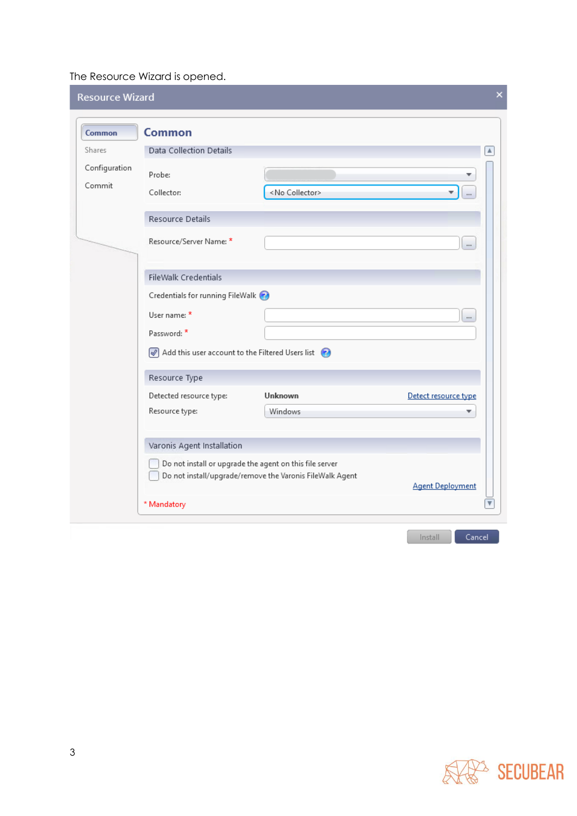#### The Resource Wizard is opened.

| <b>Resource Wizard</b>  |                                                                                                                                                |                        |                         | × |  |  |
|-------------------------|------------------------------------------------------------------------------------------------------------------------------------------------|------------------------|-------------------------|---|--|--|
| Common                  | <b>Common</b>                                                                                                                                  |                        |                         |   |  |  |
| Shares                  | Data Collection Details                                                                                                                        |                        | $\blacktriangle$        |   |  |  |
| Configuration<br>Commit | Probe:<br>Collector:                                                                                                                           | <no collector=""></no> | ▼<br>$\cdots$           |   |  |  |
|                         | Resource Details                                                                                                                               |                        |                         |   |  |  |
|                         | Resource/Server Name: *                                                                                                                        |                        | $\cdots$                |   |  |  |
|                         | FileWalk Credentials                                                                                                                           |                        |                         |   |  |  |
|                         | Credentials for running FileWalk                                                                                                               |                        |                         |   |  |  |
|                         | User name: *                                                                                                                                   |                        | $\cdots$                |   |  |  |
|                         | Password: *                                                                                                                                    |                        |                         |   |  |  |
|                         | $\mathcal{P}$ Add this user account to the Filtered Users list                                                                                 |                        |                         |   |  |  |
|                         | Resource Type                                                                                                                                  |                        |                         |   |  |  |
|                         | Detected resource type:                                                                                                                        | <b>Unknown</b>         | Detect resource type    |   |  |  |
|                         | Resource type:                                                                                                                                 | Windows                |                         |   |  |  |
|                         |                                                                                                                                                |                        |                         |   |  |  |
|                         | Varonis Agent Installation                                                                                                                     |                        |                         |   |  |  |
|                         | Do not install or upgrade the agent on this file server<br>Do not install/upgrade/remove the Varonis FileWalk Agent<br><b>Agent Deployment</b> |                        |                         |   |  |  |
|                         | * Mandatory                                                                                                                                    |                        | $\overline{\mathbf{v}}$ |   |  |  |
|                         |                                                                                                                                                |                        | Install<br>Cancel       |   |  |  |

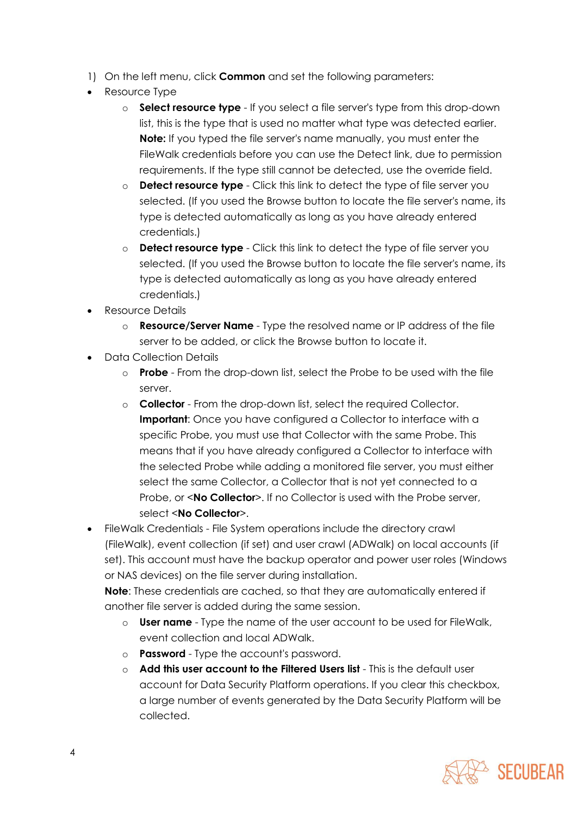- 1) On the left menu, click **Common** and set the following parameters:
- Resource Type
	- o **Select resource type** If you select a file server's type from this drop-down list, this is the type that is used no matter what type was detected earlier. **Note:** If you typed the file server's name manually, you must enter the FileWalk credentials before you can use the Detect link, due to permission requirements. If the type still cannot be detected, use the override field.
	- o **Detect resource type** Click this link to detect the type of file server you selected. (If you used the Browse button to locate the file server's name, its type is detected automatically as long as you have already entered credentials.)
	- o **Detect resource type** Click this link to detect the type of file server you selected. (If you used the Browse button to locate the file server's name, its type is detected automatically as long as you have already entered credentials.)
- Resource Details
	- o **Resource/Server Name** Type the resolved name or IP address of the file server to be added, or click the Browse button to locate it.
- Data Collection Details
	- o **Probe** From the drop-down list, select the Probe to be used with the file server.
	- o **Collector** From the drop-down list, select the required Collector. **Important**: Once you have configured a Collector to interface with a specific Probe, you must use that Collector with the same Probe. This means that if you have already configured a Collector to interface with the selected Probe while adding a monitored file server, you must either select the same Collector, a Collector that is not yet connected to a Probe, or <**No Collector**>. If no Collector is used with the Probe server, select <**No Collector**>.
- FileWalk Credentials File System operations include the directory crawl (FileWalk), event collection (if set) and user crawl (ADWalk) on local accounts (if set). This account must have the backup operator and power user roles (Windows or NAS devices) on the file server during installation.

**Note**: These credentials are cached, so that they are automatically entered if another file server is added during the same session.

- o **User name** Type the name of the user account to be used for FileWalk, event collection and local ADWalk.
- o **Password** Type the account's password.
- o **Add this user account to the Filtered Users list** This is the default user account for Data Security Platform operations. If you clear this checkbox, a large number of events generated by the Data Security Platform will be collected.

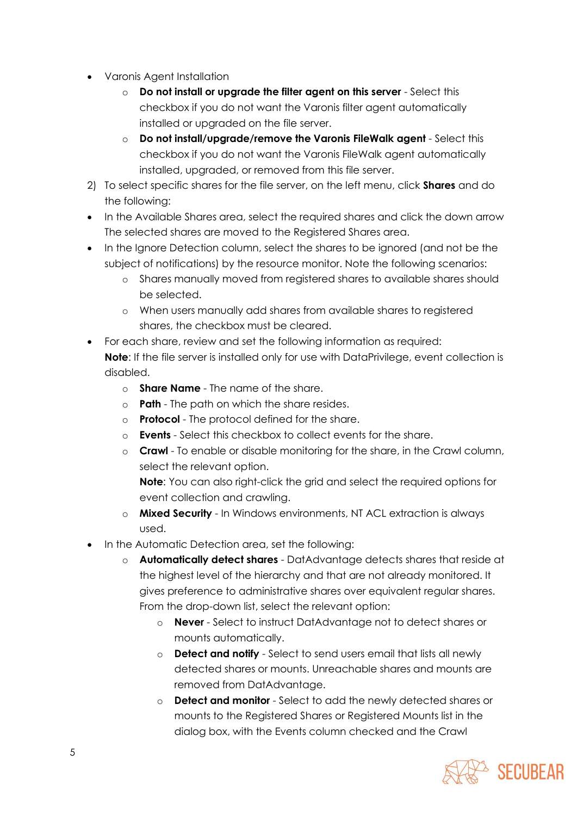- Varonis Agent Installation
	- o **Do not install or upgrade the filter agent on this server** Select this checkbox if you do not want the Varonis filter agent automatically installed or upgraded on the file server.
	- o **Do not install/upgrade/remove the Varonis FileWalk agent** Select this checkbox if you do not want the Varonis FileWalk agent automatically installed, upgraded, or removed from this file server.
- 2) To select specific shares for the file server, on the left menu, click **Shares** and do the following:
- In the Available Shares area, select the required shares and click the down arrow The selected shares are moved to the Registered Shares area.
- In the Ignore Detection column, select the shares to be ignored (and not be the subject of notifications) by the resource monitor. Note the following scenarios:
	- o Shares manually moved from registered shares to available shares should be selected.
	- o When users manually add shares from available shares to registered shares, the checkbox must be cleared.
- For each share, review and set the following information as required: **Note**: If the file server is installed only for use with DataPrivilege, event collection is disabled.
	- o **Share Name** The name of the share.
	- o **Path** The path on which the share resides.
	- o **Protocol** The protocol defined for the share.
	- o **Events** Select this checkbox to collect events for the share.
	- o **Crawl** To enable or disable monitoring for the share, in the Crawl column, select the relevant option.

**Note**: You can also right-click the grid and select the required options for event collection and crawling.

- o **Mixed Security** In Windows environments, NT ACL extraction is always used.
- In the Automatic Detection area, set the following:
	- o **Automatically detect shares** DatAdvantage detects shares that reside at the highest level of the hierarchy and that are not already monitored. It gives preference to administrative shares over equivalent regular shares. From the drop-down list, select the relevant option:
		- o **Never** Select to instruct DatAdvantage not to detect shares or mounts automatically.
		- o **Detect and notify** Select to send users email that lists all newly detected shares or mounts. Unreachable shares and mounts are removed from DatAdvantage.
		- o **Detect and monitor** Select to add the newly detected shares or mounts to the Registered Shares or Registered Mounts list in the dialog box, with the Events column checked and the Crawl